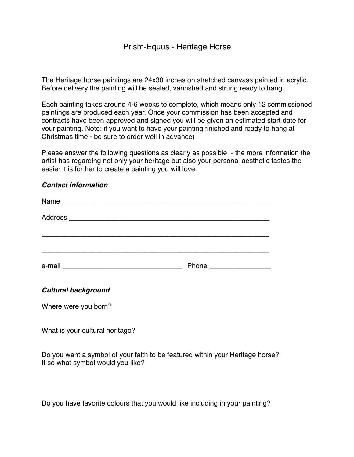## Prism-Equus - Heritage Horse

The Heritage horse paintings are 24x30 inches on stretched canvass painted in acrylic. Before delivery the painting will be sealed, varnished and strung ready to hang.

Each painting takes around 4-6 weeks to complete, which means only 12 commissioned paintings are produced each year. Once your commission has been accepted and contracts have been approved and signed you will be given an estimated start date for your painting. Note: if you want to have your painting finished and ready to hang at Christmas time - be sure to order well in advance)

Please answer the following questions as clearly as possible - the more information the artist has regarding not only your heritage but also your personal aesthetic tastes the easier it is for her to create a painting you will love.

## *Contact information*

| e-mail |  |
|--------|--|

## *Cultural background*

Where were you born?

What is your cultural heritage?

Do you want a symbol of your faith to be featured within your Heritage horse? If so what symbol would you like?

Do you have favorite colours that you would like including in your painting?